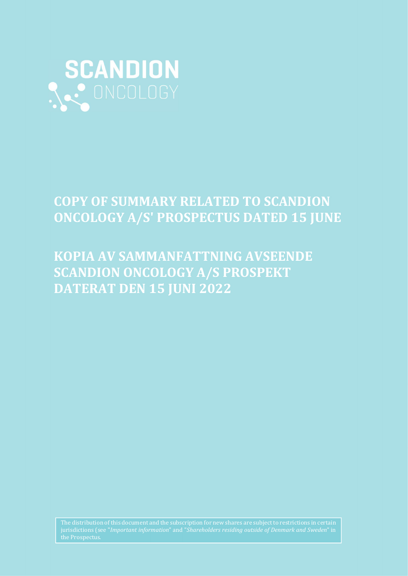

# COPY OF SUMMARY RELATED TO SCANDION ONCOLOGY A/S' PROSPECTUS DATED 15 JUNE

# KOPIA AV SAMMANFATTNING AVSEENDE SCANDION ONCOLOGY A/S PROSPEKT DATERAT DEN 15 JUNI 2022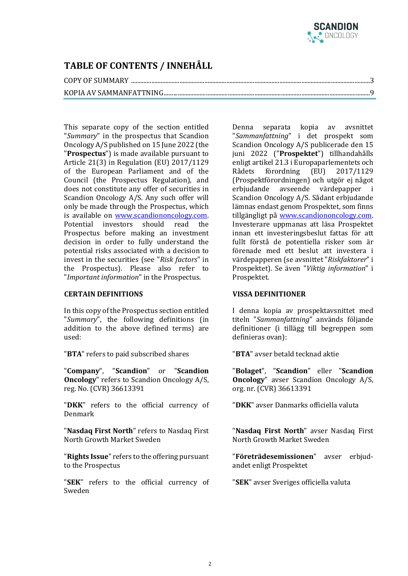

## TABLE OF CONTENTS / INNEHÅLL

### COPY OF SUMMARY .........................................................................................................................................................3

## KOPIA AV SAMMANFATTNING ....................................................................................................................................9

This separate copy of the section entitled "Summary" in the prospectus that Scandion Oncology A/S published on 15 June 2022 (the "Prospectus") is made available pursuant to Article 21(3) in Regulation (EU) 2017/1129 of the European Parliament and of the Council (the Prospectus Regulation), and does not constitute any offer of securities in Scandion Oncology A/S. Any such offer will only be made through the Prospectus, which is available on www.scandiononcology.com. Potential investors should read the Prospectus before making an investment decision in order to fully understand the potential risks associated with a decision to invest in the securities (see "Risk factors" in the Prospectus). Please also refer to "Important information" in the Prospectus.

### CERTAIN DEFINITIONS

In this copy of the Prospectus section entitled "Summary", the following definitions (in addition to the above defined terms) are used:

"BTA" refers to paid subscribed shares

"Company", "Scandion" or "Scandion Oncology" refers to Scandion Oncology A/S, reg. No. (CVR) 36613391

"DKK" refers to the official currency of Denmark

"Nasdaq First North" refers to Nasdaq First North Growth Market Sweden

"Rights Issue" refers to the offering pursuant to the Prospectus

"SEK" refers to the official currency of Sweden

Denna separata kopia av avsnittet "Sammanfattning" i det prospekt som Scandion Oncology A/S publicerade den 15 juni 2022 ("Prospektet") tillhandahålls enligt artikel 21.3 i Europaparlementets och Rådets förordning (EU) 2017/1129 (Prospektförordningen) och utgör ej något erbjudande avseende värdepapper i Scandion Oncology A/S. Sådant erbjudande lämnas endast genom Prospektet, som finns tillgängligt på www.scandiononcology.com. Investerare uppmanas att läsa Prospektet innan ett investeringsbeslut fattas för att fullt förstå de potentiella risker som är förenade med ett beslut att investera i värdepapperen (se avsnittet "Riskfaktorer" i Prospektet). Se även "Viktig information" i Prospektet.

### VISSA DEFINITIONER

I denna kopia av prospektavsnittet med titeln "Sammanfattning" används följande definitioner (i tillägg till begreppen som definieras ovan):

"BTA" avser betald tecknad aktie

"Bolaget", "Scandion" eller "Scandion Oncology" avser Scandion Oncology A/S, org. nr. (CVR) 36613391

"DKK" avser Danmarks officiella valuta

"Nasdaq First North" avser Nasdaq First North Growth Market Sweden

"Företrädesemissionen" avser erbjudandet enligt Prospektet

"SEK" avser Sveriges officiella valuta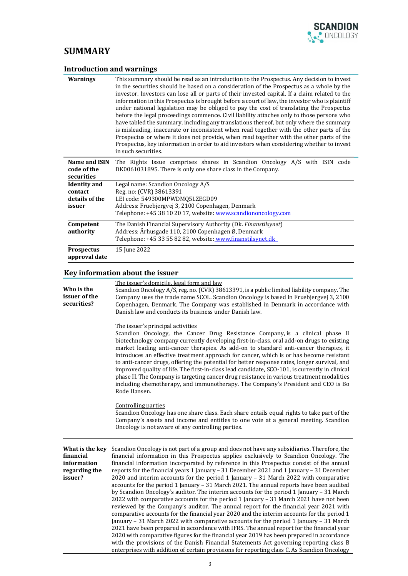

## **SUMMARY**

| <b>Introduction and warnings</b>                           |                                                                                                                                                                                                                                                                                                                                                                                                                                                                                                                                                                                                                                                                                                                                                                                                                                                                                                                                                                                       |
|------------------------------------------------------------|---------------------------------------------------------------------------------------------------------------------------------------------------------------------------------------------------------------------------------------------------------------------------------------------------------------------------------------------------------------------------------------------------------------------------------------------------------------------------------------------------------------------------------------------------------------------------------------------------------------------------------------------------------------------------------------------------------------------------------------------------------------------------------------------------------------------------------------------------------------------------------------------------------------------------------------------------------------------------------------|
| <b>Warnings</b>                                            | This summary should be read as an introduction to the Prospectus. Any decision to invest<br>in the securities should be based on a consideration of the Prospectus as a whole by the<br>investor. Investors can lose all or parts of their invested capital. If a claim related to the<br>information in this Prospectus is brought before a court of law, the investor who is plaintiff<br>under national legislation may be obliged to pay the cost of translating the Prospectus<br>before the legal proceedings commence. Civil liability attaches only to those persons who<br>have tabled the summary, including any translations thereof, but only where the summary<br>is misleading, inaccurate or inconsistent when read together with the other parts of the<br>Prospectus or where it does not provide, when read together with the other parts of the<br>Prospectus, key information in order to aid investors when considering whether to invest<br>in such securities. |
| Name and ISIN<br>code of the<br>securities                 | The Rights Issue comprises shares in Scandion Oncology A/S with ISIN code<br>DK0061031895. There is only one share class in the Company.                                                                                                                                                                                                                                                                                                                                                                                                                                                                                                                                                                                                                                                                                                                                                                                                                                              |
| <b>Identity</b> and<br>contact<br>details of the<br>issuer | Legal name: Scandion Oncology A/S<br>Reg. no: (CVR) 38613391<br>LEI code: 549300MPWDM05LZEGD09<br>Address: Fruebjergvej 3, 2100 Copenhagen, Denmark<br>Telephone: +45 38 10 20 17, website: www.scandiononcology.com                                                                                                                                                                                                                                                                                                                                                                                                                                                                                                                                                                                                                                                                                                                                                                  |
| Competent<br>authority                                     | The Danish Financial Supervisory Authority (Dk. Finanstilsynet)<br>Address: Århusgade 110, 2100 Copenhagen Ø, Denmark<br>Telephone: +45 33 55 82 82, website: www.finanstilsynet.dk                                                                                                                                                                                                                                                                                                                                                                                                                                                                                                                                                                                                                                                                                                                                                                                                   |
| <b>Prospectus</b><br>approval date                         | 15 June 2022                                                                                                                                                                                                                                                                                                                                                                                                                                                                                                                                                                                                                                                                                                                                                                                                                                                                                                                                                                          |

## Key information about the issuer

| Who is the<br>issuer of the<br>securities?                              | The issuer's domicile, legal form and law<br>Scandion Oncology A/S, reg. no. (CVR) 38613391, is a public limited liability company. The<br>Company uses the trade name SCOL. Scandion Oncology is based in Fruebjergvej 3, 2100<br>Copenhagen, Denmark. The Company was established in Denmark in accordance with<br>Danish law and conducts its business under Danish law.                                                                                                                                                                                                                                                                                                                                                                                                                                                                                                                                                                                                                                                                                                                                                                                                                                                                                                                                                                                                                                               |  |  |  |  |
|-------------------------------------------------------------------------|---------------------------------------------------------------------------------------------------------------------------------------------------------------------------------------------------------------------------------------------------------------------------------------------------------------------------------------------------------------------------------------------------------------------------------------------------------------------------------------------------------------------------------------------------------------------------------------------------------------------------------------------------------------------------------------------------------------------------------------------------------------------------------------------------------------------------------------------------------------------------------------------------------------------------------------------------------------------------------------------------------------------------------------------------------------------------------------------------------------------------------------------------------------------------------------------------------------------------------------------------------------------------------------------------------------------------------------------------------------------------------------------------------------------------|--|--|--|--|
|                                                                         | The issuer's principal activities<br>Scandion Oncology, the Cancer Drug Resistance Company, is a clinical phase II<br>biotechnology company currently developing first-in-class, oral add-on drugs to existing<br>market leading anti-cancer therapies. As add-on to standard anti-cancer therapies, it<br>introduces an effective treatment approach for cancer, which is or has become resistant<br>to anti-cancer drugs, offering the potential for better response rates, longer survival, and<br>improved quality of life. The first-in-class lead candidate, SCO-101, is currently in clinical<br>phase II. The Company is targeting cancer drug resistance in various treatment modalities<br>including chemotherapy, and immunotherapy. The Company's President and CEO is Bo<br>Rode Hansen.                                                                                                                                                                                                                                                                                                                                                                                                                                                                                                                                                                                                                     |  |  |  |  |
|                                                                         | <b>Controlling parties</b><br>Scandion Oncology has one share class. Each share entails equal rights to take part of the<br>Company's assets and income and entitles to one vote at a general meeting. Scandion<br>Oncology is not aware of any controlling parties.                                                                                                                                                                                                                                                                                                                                                                                                                                                                                                                                                                                                                                                                                                                                                                                                                                                                                                                                                                                                                                                                                                                                                      |  |  |  |  |
| What is the key<br>financial<br>information<br>regarding the<br>issuer? | Scandion Oncology is not part of a group and does not have any subsidiaries. Therefore, the<br>financial information in this Prospectus applies exclusively to Scandion Oncology. The<br>financial information incorporated by reference in this Prospectus consist of the annual<br>reports for the financial years 1 January - 31 December 2021 and 1 January - 31 December<br>2020 and interim accounts for the period 1 January $-$ 31 March 2022 with comparative<br>accounts for the period 1 January - 31 March 2021. The annual reports have been audited<br>by Scandion Oncology's auditor. The interim accounts for the period 1 January - 31 March<br>2022 with comparative accounts for the period 1 January – 31 March 2021 have not been<br>reviewed by the Company's auditor. The annual report for the financial year 2021 with<br>comparative accounts for the financial year 2020 and the interim accounts for the period 1<br>January – 31 March 2022 with comparative accounts for the period 1 January – 31 March<br>2021 have been prepared in accordance with IFRS. The annual report for the financial year<br>2020 with comparative figures for the financial year 2019 has been prepared in accordance<br>with the provisions of the Danish Financial Statements Act governing reporting class B<br>enterprises with addition of certain provisions for reporting class C. As Scandion Oncology |  |  |  |  |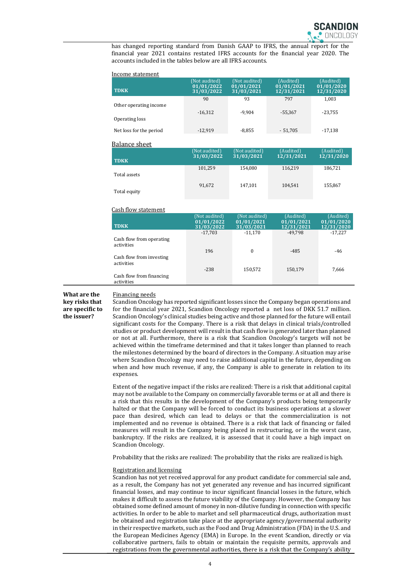has changed reporting standard from Danish GAAP to IFRS, the annual report for the financial year 2021 contains restated IFRS accounts for the financial year 2020. The accounts included in the tables below are all IFRS accounts.

| Income statement        |                                           |                                           |                                       |                                       |
|-------------------------|-------------------------------------------|-------------------------------------------|---------------------------------------|---------------------------------------|
| <b>TDKK</b>             | (Not audited)<br>01/01/2022<br>31/03/2022 | (Not audited)<br>01/01/2021<br>31/03/2021 | (Audited)<br>01/01/2021<br>12/31/2021 | (Audited)<br>01/01/2020<br>12/31/2020 |
|                         | 90                                        | 93                                        | 797                                   | 1,003                                 |
| Other operating income  | $-16,312$                                 | $-9,904$                                  | $-55,367$                             | $-23,755$                             |
| Operating loss          |                                           |                                           |                                       |                                       |
| Net loss for the period | $-12,919$                                 | $-8,855$                                  | $-51,705$                             | $-17,138$                             |
| <b>Balance sheet</b>    |                                           |                                           |                                       |                                       |
|                         | (Not audited)                             | (Not audited)                             | (Audited)                             | (Audited)                             |
| <b>TDKK</b>             | 31/03/2022                                | 31/03/2021                                | 12/31/2021                            | $\sqrt{12/31}/2020$                   |
|                         | 101,259                                   | 154,080                                   | 116,219                               | 186,721                               |
| Total assets            |                                           |                                           |                                       |                                       |
|                         | 91,672                                    | 147,101                                   | 104,541                               | 155,867                               |
| Total equity            |                                           |                                           |                                       |                                       |
| Cash flow statement     |                                           |                                           |                                       |                                       |
|                         | $CN = 1.233$                              |                                           | $CA = 324 - 33$                       | $AA = 324 - 33$                       |

|                                        | (Not audited)<br>01/01/2022 | (Not audited)<br>01/01/2021 | (Audited)<br>01/01/2021 | (Audited)<br>01/01/2020 |
|----------------------------------------|-----------------------------|-----------------------------|-------------------------|-------------------------|
| <b>TDKK</b>                            | 31/03/2022                  | 31/03/2021                  | 12/31/2021              | 12/31/2020              |
|                                        | $-17,703$                   | $-11,170$                   | -49.798                 | $-17.227$               |
| Cash flow from operating<br>activities |                             |                             |                         |                         |
|                                        | 196                         | $\mathbf{0}$                | $-485$                  | -46                     |
| Cash flow from investing<br>activities |                             |                             |                         |                         |
|                                        | $-238$                      | 150,572                     | 150,179                 | 7,666                   |
| Cash flow from financing<br>activities |                             |                             |                         |                         |

#### What are the Financing needs

key risks that are specific to the issuer?

Scandion Oncology has reported significant losses since the Company began operations and for the financial year 2021, Scandion Oncology reported a net loss of DKK 51.7 million. Scandion Oncology's clinical studies being active and those planned for the future will entail significant costs for the Company. There is a risk that delays in clinical trials/controlled studies or product development will result in that cash flow is generated later than planned or not at all. Furthermore, there is a risk that Scandion Oncology's targets will not be achieved within the timeframe determined and that it takes longer than planned to reach the milestones determined by the board of directors in the Company. A situation may arise where Scandion Oncology may need to raise additional capital in the future, depending on when and how much revenue, if any, the Company is able to generate in relation to its expenses.

Extent of the negative impact if the risks are realized: There is a risk that additional capital may not be available to the Company on commercially favorable terms or at all and there is a risk that this results in the development of the Company's products being temporarily halted or that the Company will be forced to conduct its business operations at a slower pace than desired, which can lead to delays or that the commercialization is not implemented and no revenue is obtained. There is a risk that lack of financing or failed measures will result in the Company being placed in restructuring, or in the worst case, bankruptcy. If the risks are realized, it is assessed that it could have a high impact on Scandion Oncology.

Probability that the risks are realized: The probability that the risks are realized is high.

#### Registration and licensing

Scandion has not yet received approval for any product candidate for commercial sale and, as a result, the Company has not yet generated any revenue and has incurred significant financial losses, and may continue to incur significant financial losses in the future, which makes it difficult to assess the future viability of the Company. However, the Company has obtained some defined amount of money in non-dilutive funding in connection with specific activities. In order to be able to market and sell pharmaceutical drugs, authorization must be obtained and registration take place at the appropriate agency/governmental authority in their respective markets, such as the Food and Drug Administration (FDA) in the U.S. and the European Medicines Agency (EMA) in Europe. In the event Scandion, directly or via collaborative partners, fails to obtain or maintain the requisite permits, approvals and registrations from the governmental authorities, there is a risk that the Company's ability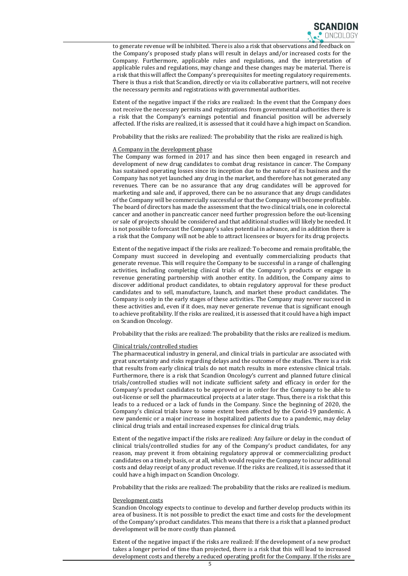to generate revenue will be inhibited. There is also a risk that observations and feedback on the Company's proposed study plans will result in delays and/or increased costs for the Company. Furthermore, applicable rules and regulations, and the interpretation of applicable rules and regulations, may change and these changes may be material. There is a risk that this will affect the Company's prerequisites for meeting regulatory requirements. There is thus a risk that Scandion, directly or via its collaborative partners, will not receive the necessary permits and registrations with governmental authorities.

Extent of the negative impact if the risks are realized: In the event that the Company does not receive the necessary permits and registrations from governmental authorities there is a risk that the Company's earnings potential and financial position will be adversely affected. If the risks are realized, it is assessed that it could have a high impact on Scandion.

Probability that the risks are realized: The probability that the risks are realized is high.

#### A Company in the development phase

The Company was formed in 2017 and has since then been engaged in research and development of new drug candidates to combat drug resistance in cancer. The Company has sustained operating losses since its inception due to the nature of its business and the Company has not yet launched any drug in the market, and therefore has not generated any revenues. There can be no assurance that any drug candidates will be approved for marketing and sale and, if approved, there can be no assurance that any drugs candidates of the Company will be commercially successful or that the Company will become profitable. The board of directors has made the assessment that the two clinical trials, one in colorectal cancer and another in pancreatic cancer need further progression before the out-licensing or sale of projects should be considered and that additional studies will likely be needed. It is not possible to forecast the Company's sales potential in advance, and in addition there is a risk that the Company will not be able to attract licensees or buyers for its drug projects.

Extent of the negative impact if the risks are realized: To become and remain profitable, the Company must succeed in developing and eventually commercializing products that generate revenue. This will require the Company to be successful in a range of challenging activities, including completing clinical trials of the Company's products or engage in revenue generating partnership with another entity. In addition, the Company aims to discover additional product candidates, to obtain regulatory approval for these product candidates and to sell, manufacture, launch, and market these product candidates. The Company is only in the early stages of these activities. The Company may never succeed in these activities and, even if it does, may never generate revenue that is significant enough to achieve profitability. If the risks are realized, it is assessed that it could have a high impact on Scandion Oncology.

Probability that the risks are realized: The probability that the risks are realized is medium.

#### Clinical trials/controlled studies

The pharmaceutical industry in general, and clinical trials in particular are associated with great uncertainty and risks regarding delays and the outcome of the studies. There is a risk that results from early clinical trials do not match results in more extensive clinical trials. Furthermore, there is a risk that Scandion Oncology's current and planned future clinical trials/controlled studies will not indicate sufficient safety and efficacy in order for the Company's product candidates to be approved or in order for the Company to be able to out-license or sell the pharmaceutical projects at a later stage. Thus, there is a risk that this leads to a reduced or a lack of funds in the Company. Since the beginning of 2020, the Company's clinical trials have to some extent been affected by the Covid-19 pandemic. A new pandemic or a major increase in hospitalized patients due to a pandemic, may delay clinical drug trials and entail increased expenses for clinical drug trials.

Extent of the negative impact if the risks are realized: Any failure or delay in the conduct of clinical trials/controlled studies for any of the Company's product candidates, for any reason, may prevent it from obtaining regulatory approval or commercializing product candidates on a timely basis, or at all, which would require the Company to incur additional costs and delay receipt of any product revenue. If the risks are realized, it is assessed that it could have a high impact on Scandion Oncology.

Probability that the risks are realized: The probability that the risks are realized is medium.

#### Development costs

Scandion Oncology expects to continue to develop and further develop products within its area of business. It is not possible to predict the exact time and costs for the development of the Company's product candidates. This means that there is a risk that a planned product development will be more costly than planned.

Extent of the negative impact if the risks are realized: If the development of a new product takes a longer period of time than projected, there is a risk that this will lead to increased development costs and thereby a reduced operating profit for the Company. If the risks are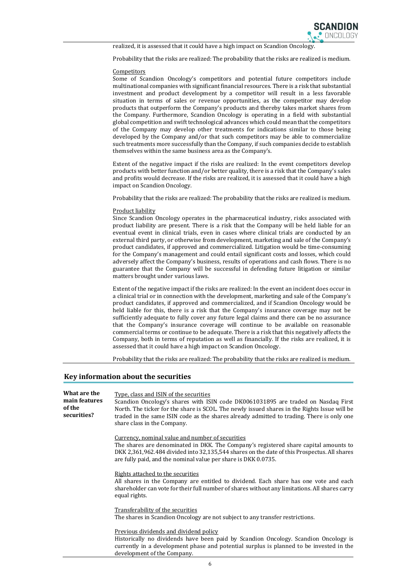realized, it is assessed that it could have a high impact on Scandion Oncology.

Probability that the risks are realized: The probability that the risks are realized is medium.

#### **Competitors**

Some of Scandion Oncology's competitors and potential future competitors include multinational companies with significant financial resources. There is a risk that substantial investment and product development by a competitor will result in a less favorable situation in terms of sales or revenue opportunities, as the competitor may develop products that outperform the Company's products and thereby takes market shares from the Company. Furthermore, Scandion Oncology is operating in a field with substantial global competition and swift technological advances which could mean that the competitors of the Company may develop other treatments for indications similar to those being developed by the Company and/or that such competitors may be able to commercialize such treatments more successfully than the Company, if such companies decide to establish themselves within the same business area as the Company's.

Extent of the negative impact if the risks are realized: In the event competitors develop products with better function and/or better quality, there is a risk that the Company's sales and profits would decrease. If the risks are realized, it is assessed that it could have a high impact on Scandion Oncology.

Probability that the risks are realized: The probability that the risks are realized is medium.

#### Product liability

Since Scandion Oncology operates in the pharmaceutical industry, risks associated with product liability are present. There is a risk that the Company will be held liable for an eventual event in clinical trials, even in cases where clinical trials are conducted by an external third party, or otherwise from development, marketing and sale of the Company's product candidates, if approved and commercialized. Litigation would be time-consuming for the Company's management and could entail significant costs and losses, which could adversely affect the Company's business, results of operations and cash flows. There is no guarantee that the Company will be successful in defending future litigation or similar matters brought under various laws.

Extent of the negative impact if the risks are realized: In the event an incident does occur in a clinical trial or in connection with the development, marketing and sale of the Company's product candidates, if approved and commercialized, and if Scandion Oncology would be held liable for this, there is a risk that the Company's insurance coverage may not be sufficiently adequate to fully cover any future legal claims and there can be no assurance that the Company's insurance coverage will continue to be available on reasonable commercial terms or continue to be adequate. There is a risk that this negatively affects the Company, both in terms of reputation as well as financially. If the risks are realized, it is assessed that it could have a high impact on Scandion Oncology.

Probability that the risks are realized: The probability that the risks are realized is medium.

#### Key information about the securities

| What are the<br>main features<br>of the<br>securities? | Type, class and ISIN of the securities<br>Scandion Oncology's shares with ISIN code DK0061031895 are traded on Nasdaq First<br>North. The ticker for the share is SCOL. The newly issued shares in the Rights Issue will be<br>traded in the same ISIN code as the shares already admitted to trading. There is only one<br>share class in the Company. |
|--------------------------------------------------------|---------------------------------------------------------------------------------------------------------------------------------------------------------------------------------------------------------------------------------------------------------------------------------------------------------------------------------------------------------|
|                                                        | Currency, nominal value and number of securities<br>The shares are denominated in DKK. The Company's registered share capital amounts to<br>DKK 2,361,962.484 divided into 32,135,544 shares on the date of this Prospectus. All shares<br>are fully paid, and the nominal value per share is DKK 0.0735.                                               |
|                                                        | Rights attached to the securities<br>All shares in the Company are entitled to dividend. Each share has one vote and each<br>shareholder can vote for their full number of shares without any limitations. All shares carry<br>equal rights.                                                                                                            |
|                                                        | Transferability of the securities<br>The shares in Scandion Oncology are not subject to any transfer restrictions.                                                                                                                                                                                                                                      |
|                                                        | Previous dividends and dividend policy<br>Historically no dividends have been paid by Scandion Oncology. Scandion Oncology is<br>currently in a development phase and potential surplus is planned to be invested in the<br>development of the Company.                                                                                                 |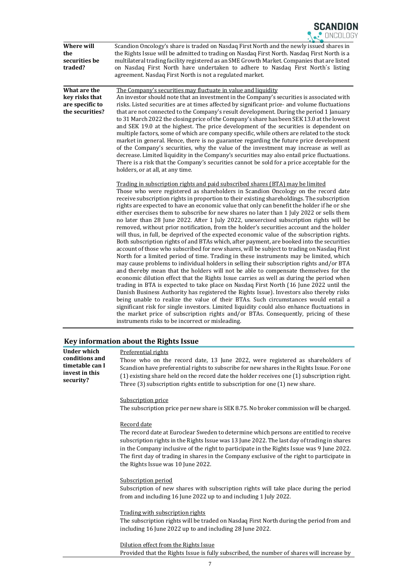

| Where will<br>the<br>securities be<br>traded?                        | Scandion Oncology's share is traded on Nasdaq First North and the newly issued shares in<br>the Rights Issue will be admitted to trading on Nasdaq First North. Nasdaq First North is a<br>multilateral trading facility registered as an SME Growth Market. Companies that are listed<br>on Nasdaq First North have undertaken to adhere to Nasdaq First North's listing<br>agreement. Nasdaq First North is not a regulated market.                                                                                                                                                                                                                                                                                                                                                                                                                                                                                                                                                                                                                                                                                                                                                                                                                                                                                                                                                                                                                                                                                                                                                                                                                                                                                                                                                                                                                                                                                                                                                                                                                                                                                                                                                                                                                                                                                                                                                                                                                                                                                                                                         |
|----------------------------------------------------------------------|-------------------------------------------------------------------------------------------------------------------------------------------------------------------------------------------------------------------------------------------------------------------------------------------------------------------------------------------------------------------------------------------------------------------------------------------------------------------------------------------------------------------------------------------------------------------------------------------------------------------------------------------------------------------------------------------------------------------------------------------------------------------------------------------------------------------------------------------------------------------------------------------------------------------------------------------------------------------------------------------------------------------------------------------------------------------------------------------------------------------------------------------------------------------------------------------------------------------------------------------------------------------------------------------------------------------------------------------------------------------------------------------------------------------------------------------------------------------------------------------------------------------------------------------------------------------------------------------------------------------------------------------------------------------------------------------------------------------------------------------------------------------------------------------------------------------------------------------------------------------------------------------------------------------------------------------------------------------------------------------------------------------------------------------------------------------------------------------------------------------------------------------------------------------------------------------------------------------------------------------------------------------------------------------------------------------------------------------------------------------------------------------------------------------------------------------------------------------------------------------------------------------------------------------------------------------------------|
| What are the<br>key risks that<br>are specific to<br>the securities? | The Company's securities may fluctuate in value and liquidity<br>An investor should note that an investment in the Company's securities is associated with<br>risks. Listed securities are at times affected by significant price- and volume fluctuations<br>that are not connected to the Company's result development. During the period 1 January<br>to 31 March 2022 the closing price of the Company's share has been SEK 13.0 at the lowest<br>and SEK 19.0 at the highest. The price development of the securities is dependent on<br>multiple factors, some of which are company specific, while others are related to the stock<br>market in general. Hence, there is no guarantee regarding the future price development<br>of the Company's securities, why the value of the investment may increase as well as<br>decrease. Limited liquidity in the Company's securities may also entail price fluctuations.<br>There is a risk that the Company's securities cannot be sold for a price acceptable for the<br>holders, or at all, at any time.<br>Trading in subscription rights and paid subscribed shares (BTA) may be limited<br>Those who were registered as shareholders in Scandion Oncology on the record date<br>receive subscription rights in proportion to their existing shareholdings. The subscription<br>rights are expected to have an economic value that only can benefit the holder if he or she<br>either exercises them to subscribe for new shares no later than 1 July 2022 or sells them<br>no later than 28 June 2022. After 1 July 2022, unexercised subscription rights will be<br>removed, without prior notification, from the holder's securities account and the holder<br>will thus, in full, be deprived of the expected economic value of the subscription rights.<br>Both subscription rights of and BTAs which, after payment, are booked into the securities<br>account of those who subscribed for new shares, will be subject to trading on Nasdaq First<br>North for a limited period of time. Trading in these instruments may be limited, which<br>may cause problems to individual holders in selling their subscription rights and/or BTA<br>and thereby mean that the holders will not be able to compensate themselves for the<br>economic dilution effect that the Rights Issue carries as well as during the period when<br>trading in BTA is expected to take place on Nasdaq First North (16 June 2022 until the<br>Danish Business Authority has registered the Rights Issue). Investors also thereby risks |
|                                                                      | being unable to realize the value of their BTAs. Such circumstances would entail a<br>significant risk for single investors. Limited liquidity could also enhance fluctuations in<br>the market price of subscription rights and/or BTAs. Consequently, pricing of these<br>instruments risks to be incorrect or misleading.                                                                                                                                                                                                                                                                                                                                                                                                                                                                                                                                                                                                                                                                                                                                                                                                                                                                                                                                                                                                                                                                                                                                                                                                                                                                                                                                                                                                                                                                                                                                                                                                                                                                                                                                                                                                                                                                                                                                                                                                                                                                                                                                                                                                                                                  |

## Key information about the Rights Issue

| Under which<br>conditions and<br>timetable can I<br>invest in this<br>security? | Preferential rights<br>Those who on the record date, 13 June 2022, were registered as shareholders of<br>Scandion have preferential rights to subscribe for new shares in the Rights Issue. For one<br>(1) existing share held on the record date the holder receives one (1) subscription right.<br>Three (3) subscription rights entitle to subscription for one (1) new share.                                                     |
|---------------------------------------------------------------------------------|---------------------------------------------------------------------------------------------------------------------------------------------------------------------------------------------------------------------------------------------------------------------------------------------------------------------------------------------------------------------------------------------------------------------------------------|
|                                                                                 | Subscription price<br>The subscription price per new share is SEK 8.75. No broker commission will be charged.                                                                                                                                                                                                                                                                                                                         |
|                                                                                 | Record date<br>The record date at Euroclear Sweden to determine which persons are entitled to receive<br>subscription rights in the Rights Issue was 13 June 2022. The last day of trading in shares<br>in the Company inclusive of the right to participate in the Rights Issue was 9 June 2022.<br>The first day of trading in shares in the Company exclusive of the right to participate in<br>the Rights Issue was 10 June 2022. |
|                                                                                 | Subscription period<br>Subscription of new shares with subscription rights will take place during the period<br>from and including 16 June 2022 up to and including 1 July 2022.                                                                                                                                                                                                                                                      |
|                                                                                 | Trading with subscription rights<br>The subscription rights will be traded on Nasdaq First North during the period from and<br>including 16 June 2022 up to and including 28 June 2022.                                                                                                                                                                                                                                               |
|                                                                                 | Dilution effect from the Rights Issue                                                                                                                                                                                                                                                                                                                                                                                                 |

Provided that the Rights Issue is fully subscribed, the number of shares will increase by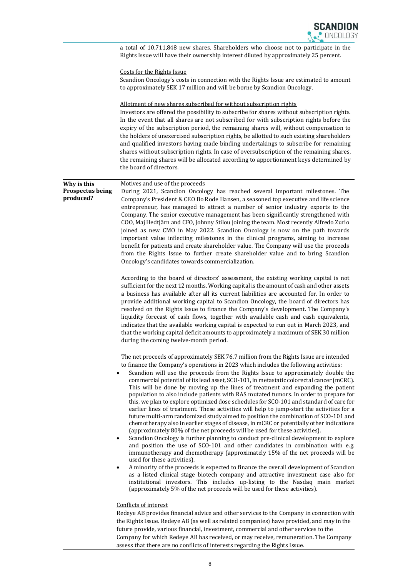|                                                     | a total of 10,711,848 new shares. Shareholders who choose not to participate in the<br>Rights Issue will have their ownership interest diluted by approximately 25 percent.                                                                                                                                                                                                                                                                                                                                                                                                                                                                                                                                                                                                                                                                                                                                                                                                                                                                                                                                                                                                                                                                                                                                                                                                                                                                                                                                                                                                                                                                                   |
|-----------------------------------------------------|---------------------------------------------------------------------------------------------------------------------------------------------------------------------------------------------------------------------------------------------------------------------------------------------------------------------------------------------------------------------------------------------------------------------------------------------------------------------------------------------------------------------------------------------------------------------------------------------------------------------------------------------------------------------------------------------------------------------------------------------------------------------------------------------------------------------------------------------------------------------------------------------------------------------------------------------------------------------------------------------------------------------------------------------------------------------------------------------------------------------------------------------------------------------------------------------------------------------------------------------------------------------------------------------------------------------------------------------------------------------------------------------------------------------------------------------------------------------------------------------------------------------------------------------------------------------------------------------------------------------------------------------------------------|
|                                                     | Costs for the Rights Issue<br>Scandion Oncology's costs in connection with the Rights Issue are estimated to amount<br>to approximately SEK 17 million and will be borne by Scandion Oncology.                                                                                                                                                                                                                                                                                                                                                                                                                                                                                                                                                                                                                                                                                                                                                                                                                                                                                                                                                                                                                                                                                                                                                                                                                                                                                                                                                                                                                                                                |
|                                                     | Allotment of new shares subscribed for without subscription rights<br>Investors are offered the possibility to subscribe for shares without subscription rights.<br>In the event that all shares are not subscribed for with subscription rights before the<br>expiry of the subscription period, the remaining shares will, without compensation to<br>the holders of unexercised subscription rights, be allotted to such existing shareholders<br>and qualified investors having made binding undertakings to subscribe for remaining<br>shares without subscription rights. In case of oversubscription of the remaining shares,<br>the remaining shares will be allocated according to apportionment keys determined by<br>the board of directors.                                                                                                                                                                                                                                                                                                                                                                                                                                                                                                                                                                                                                                                                                                                                                                                                                                                                                                       |
| Why is this<br><b>Prospectus being</b><br>produced? | Motives and use of the proceeds<br>During 2021, Scandion Oncology has reached several important milestones. The<br>Company's President & CEO Bo Rode Hansen, a seasoned top executive and life science<br>entrepreneur, has managed to attract a number of senior industry experts to the<br>Company. The senior executive management has been significantly strengthened with<br>COO, Maj Hedtjärn and CFO, Johnny Stilou joining the team. Most recently Alfredo Zurlo<br>joined as new CMO in May 2022. Scandion Oncology is now on the path towards<br>important value inflecting milestones in the clinical programs, aiming to increase<br>benefit for patients and create shareholder value. The Company will use the proceeds<br>from the Rights Issue to further create shareholder value and to bring Scandion<br>Oncology's candidates towards commercialization.                                                                                                                                                                                                                                                                                                                                                                                                                                                                                                                                                                                                                                                                                                                                                                                  |
|                                                     | According to the board of directors' assessment, the existing working capital is not<br>sufficient for the next 12 months. Working capital is the amount of cash and other assets<br>a business has available after all its current liabilities are accounted for. In order to<br>provide additional working capital to Scandion Oncology, the board of directors has<br>resolved on the Rights Issue to finance the Company's development. The Company's<br>liquidity forecast of cash flows, together with available cash and cash equivalents,<br>indicates that the available working capital is expected to run out in March 2023, and<br>that the working capital deficit amounts to approximately a maximum of SEK 30 million<br>during the coming twelve-month period.                                                                                                                                                                                                                                                                                                                                                                                                                                                                                                                                                                                                                                                                                                                                                                                                                                                                                |
|                                                     | The net proceeds of approximately SEK 76.7 million from the Rights Issue are intended<br>to finance the Company's operations in 2023 which includes the following activities:<br>Scandion will use the proceeds from the Rights Issue to approximately double the<br>commercial potential of its lead asset, SCO-101, in metastatic colorectal cancer (mCRC).<br>This will be done by moving up the lines of treatment and expanding the patient<br>population to also include patients with RAS mutated tumors. In order to prepare for<br>this, we plan to explore optimized dose schedules for SCO-101 and standard of care for<br>earlier lines of treatment. These activities will help to jump-start the activities for a<br>future multi-arm randomized study aimed to position the combination of SCO-101 and<br>chemotherapy also in earlier stages of disease, in mCRC or potentially other indications<br>(approximately 80% of the net proceeds will be used for these activities).<br>Scandion Oncology is further planning to conduct pre-clinical development to explore<br>$\bullet$<br>and position the use of SCO-101 and other candidates in combination with e.g.<br>immunotherapy and chemotherapy (approximately 15% of the net proceeds will be<br>used for these activities).<br>A minority of the proceeds is expected to finance the overall development of Scandion<br>$\bullet$<br>as a listed clinical stage biotech company and attractive investment case also for<br>institutional investors. This includes up-listing to the Nasdaq main market<br>(approximately 5% of the net proceeds will be used for these activities). |
|                                                     | Conflicts of interest<br>Redeye AB provides financial advice and other services to the Company in connection with<br>the Rights Issue. Redeye AB (as well as related companies) have provided, and may in the<br>future provide, various financial, investment, commercial and other services to the<br>Company for which Redeye AB has received, or may receive, remuneration. The Company<br>assess that there are no conflicts of interests regarding the Rights Issue.                                                                                                                                                                                                                                                                                                                                                                                                                                                                                                                                                                                                                                                                                                                                                                                                                                                                                                                                                                                                                                                                                                                                                                                    |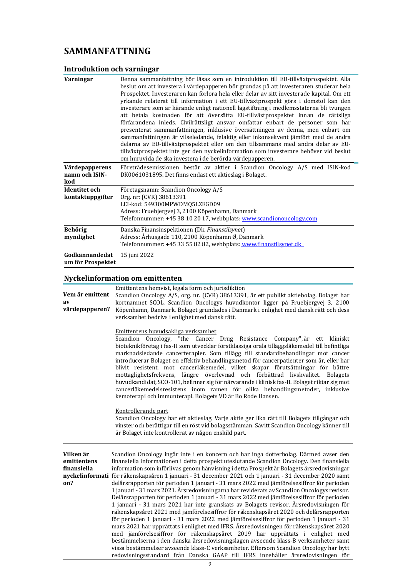## SAMMANFATTNING

## Introduktion och varningar

| Varningar                                | Denna sammanfattning bör läsas som en introduktion till EU-tillväxtprospektet. Alla<br>beslut om att investera i värdepapperen bör grundas på att investeraren studerar hela<br>Prospektet. Investeraren kan förlora hela eller delar av sitt investerade kapital. Om ett<br>yrkande relaterat till information i ett EU-tillväxtprospekt görs i domstol kan den<br>investerare som är kärande enligt nationell lagstiftning i medlemsstaterna bli tvungen<br>att betala kostnaden för att översätta EU-tillväxtprospektet innan de rättsliga<br>förfarandena inleds. Civilrättsligt ansvar omfattar enbart de personer som har<br>presenterat sammanfattningen, inklusive översättningen av denna, men enbart om<br>sammanfattningen är vilseledande, felaktig eller inkonsekvent jämfört med de andra<br>delarna av EU-tillväxtprospektet eller om den tillsammans med andra delar av EU-<br>tillväxtprospektet inte ger den nyckelinformation som investerare behöver vid beslut<br>om huruvida de ska investera i de berörda värdepapperen. |
|------------------------------------------|-------------------------------------------------------------------------------------------------------------------------------------------------------------------------------------------------------------------------------------------------------------------------------------------------------------------------------------------------------------------------------------------------------------------------------------------------------------------------------------------------------------------------------------------------------------------------------------------------------------------------------------------------------------------------------------------------------------------------------------------------------------------------------------------------------------------------------------------------------------------------------------------------------------------------------------------------------------------------------------------------------------------------------------------------|
| Värdepapperens<br>namn och ISIN-<br>kod  | Företrädesemissionen består av aktier i Scandion Oncology A/S med ISIN-kod<br>DK0061031895. Det finns endast ett aktieslag i Bolaget.                                                                                                                                                                                                                                                                                                                                                                                                                                                                                                                                                                                                                                                                                                                                                                                                                                                                                                           |
| <b>Identitet</b> och<br>kontaktuppgifter | Företagsnamn: Scandion Oncology A/S<br>Org. nr: (CVR) 38613391<br>LEI-kod: 549300MPWDMQ5LZEGD09<br>Adress: Fruebjergvej 3, 2100 Köpenhamn, Danmark<br>Telefonnummer: +45 38 10 20 17, webbplats: www.scandiononcology.com                                                                                                                                                                                                                                                                                                                                                                                                                                                                                                                                                                                                                                                                                                                                                                                                                       |
| <b>Behörig</b><br>myndighet              | Danska Finansinspektionen (Dk. Finanstilsynet)<br>Adress: Århusgade 110, 2100 Köpenhamn Ø, Danmark<br>Telefonnummer: +45 33 55 82 82, webbplats: www.finanstilsynet.dk                                                                                                                                                                                                                                                                                                                                                                                                                                                                                                                                                                                                                                                                                                                                                                                                                                                                          |
| Godkännandedat<br>um för Prospektet      | 15 juni 2022                                                                                                                                                                                                                                                                                                                                                                                                                                                                                                                                                                                                                                                                                                                                                                                                                                                                                                                                                                                                                                    |

## Nyckelinformation om emittenten

| Vem är emittent<br>av<br>värdepapperen?        | Emittentens hemvist, legala form och jurisdiktion<br>Scandion Oncology A/S, org. nr. (CVR) 38613391, är ett publikt aktiebolag. Bolaget har<br>kortnamnet SCOL. Scandion Oncologys huvudkontor ligger på Fruebjergvej 3, 2100<br>Köpenhamn, Danmark. Bolaget grundades i Danmark i enlighet med dansk rätt och dess<br>verksamhet bedrivs i enlighet med dansk rätt.                                                                                                                                                                                                                                                                                                                                                                                                                                                                                                                                                                                                                                                                                                                                                                                                                                                                                                                                                                                                                                   |  |  |  |  |
|------------------------------------------------|--------------------------------------------------------------------------------------------------------------------------------------------------------------------------------------------------------------------------------------------------------------------------------------------------------------------------------------------------------------------------------------------------------------------------------------------------------------------------------------------------------------------------------------------------------------------------------------------------------------------------------------------------------------------------------------------------------------------------------------------------------------------------------------------------------------------------------------------------------------------------------------------------------------------------------------------------------------------------------------------------------------------------------------------------------------------------------------------------------------------------------------------------------------------------------------------------------------------------------------------------------------------------------------------------------------------------------------------------------------------------------------------------------|--|--|--|--|
|                                                | Emittentens huvudsakliga verksamhet<br>Scandion Oncology, "the Cancer Drug Resistance Company", är ett kliniskt<br>bioteknikföretag i fas-II som utvecklar förstklassiga orala tilläggsläkemedel till befintliga<br>marknadsledande cancerterapier. Som tillägg till standardbehandlingar mot cancer<br>introducerar Bolaget en effektiv behandlingsmetod för cancerpatienter som är, eller har<br>blivit resistent, mot cancerläkemedel, vilket skapar förutsättningar för bättre<br>mottaglighetsfrekvens, längre överlevnad och förbättrad livskvalitet. Bolagets<br>huvudkandidat, SCO-101, befinner sig för närvarande i klinisk fas-II. Bolaget riktar sig mot<br>cancerläkemedelsresistens inom ramen för olika behandlingsmetoder, inklusive<br>kemoterapi och immunterapi. Bolagets VD är Bo Rode Hansen.                                                                                                                                                                                                                                                                                                                                                                                                                                                                                                                                                                                     |  |  |  |  |
|                                                | Kontrollerande part<br>Scandion Oncology har ett aktieslag. Varje aktie ger lika rätt till Bolagets tillgångar och<br>vinster och berättigar till en röst vid bolagsstämman. Såvitt Scandion Oncology känner till<br>är Bolaget inte kontrollerat av någon enskild part.                                                                                                                                                                                                                                                                                                                                                                                                                                                                                                                                                                                                                                                                                                                                                                                                                                                                                                                                                                                                                                                                                                                               |  |  |  |  |
| Vilken är<br>emittentens<br>finansiella<br>on? | Scandion Oncology ingår inte i en koncern och har inga dotterbolag. Därmed avser den<br>finansiella informationen i detta prospekt uteslutande Scandion Oncology. Den finansiella<br>information som införlivas genom hänvisning i detta Prospekt är Bolagets årsredovisningar<br>nyckelinformati för räkenskapsåren 1 januari - 31 december 2021 och 1 januari - 31 december 2020 samt<br>delårsrapporten för perioden 1 januari - 31 mars 2022 med jämförelsesiffror för perioden<br>1 januari - 31 mars 2021. Årsredovisningarna har reviderats av Scandion Oncologys revisor.<br>Delårsrapporten för perioden 1 januari - 31 mars 2022 med jämförelsesiffror för perioden<br>1 januari - 31 mars 2021 har inte granskats av Bolagets revisor. Årsredovisningen för<br>räkenskapsåret 2021 med jämförelsesiffror för räkenskapsåret 2020 och delårsrapporten<br>för perioden 1 januari - 31 mars 2022 med jämförelsesiffror för perioden 1 januari - 31<br>mars 2021 har upprättats i enlighet med IFRS. Årsredovisningen för räkenskapsåret 2020<br>med jämförelsesiffror för räkenskapsåret 2019 har upprättats i enlighet med<br>bestämmelserna i den danska årsredovisningslagen avseende klass-B verksamheter samt<br>vissa bestämmelser avseende klass-C verksamheter. Eftersom Scandion Oncology har bytt<br>redovisningsstandard från Danska GAAP till IFRS innehåller årsredovisningen för |  |  |  |  |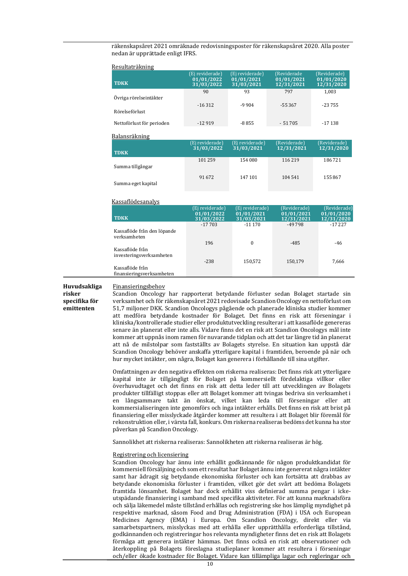räkenskapsåret 2021 omräknade redovisningsposter för räkenskapsåret 2020. Alla poster nedan är upprättade enligt IFRS.

| Resultati akililig                           |                                                                                                                                                                                                                                                                                                                                                                                                                                                                                                                                                                                                                                                                                                                                                                                                                                                                                                                                                                                                                                                                                                                                                                                                                                                                                                                                                                                                                                                                                                                                                                                                                                                                                                                                                                                                                                                                                                                                                                                                                                                                                                                                                                                                                                                                                                                                                                                                                                                                                                             |                                             |                                          |                                          |
|----------------------------------------------|-------------------------------------------------------------------------------------------------------------------------------------------------------------------------------------------------------------------------------------------------------------------------------------------------------------------------------------------------------------------------------------------------------------------------------------------------------------------------------------------------------------------------------------------------------------------------------------------------------------------------------------------------------------------------------------------------------------------------------------------------------------------------------------------------------------------------------------------------------------------------------------------------------------------------------------------------------------------------------------------------------------------------------------------------------------------------------------------------------------------------------------------------------------------------------------------------------------------------------------------------------------------------------------------------------------------------------------------------------------------------------------------------------------------------------------------------------------------------------------------------------------------------------------------------------------------------------------------------------------------------------------------------------------------------------------------------------------------------------------------------------------------------------------------------------------------------------------------------------------------------------------------------------------------------------------------------------------------------------------------------------------------------------------------------------------------------------------------------------------------------------------------------------------------------------------------------------------------------------------------------------------------------------------------------------------------------------------------------------------------------------------------------------------------------------------------------------------------------------------------------------------|---------------------------------------------|------------------------------------------|------------------------------------------|
| <b>TDKK</b>                                  | (Ej reviderade)<br>01/01/2022<br>31/03/2022                                                                                                                                                                                                                                                                                                                                                                                                                                                                                                                                                                                                                                                                                                                                                                                                                                                                                                                                                                                                                                                                                                                                                                                                                                                                                                                                                                                                                                                                                                                                                                                                                                                                                                                                                                                                                                                                                                                                                                                                                                                                                                                                                                                                                                                                                                                                                                                                                                                                 | (Ej reviderade)<br>01/01/2021<br>31/03/2021 | (Reviderade)<br>01/01/2021<br>12/31/2021 | (Reviderade)<br>01/01/2020<br>12/31/2020 |
| Övriga rörelseintäkter                       | 90                                                                                                                                                                                                                                                                                                                                                                                                                                                                                                                                                                                                                                                                                                                                                                                                                                                                                                                                                                                                                                                                                                                                                                                                                                                                                                                                                                                                                                                                                                                                                                                                                                                                                                                                                                                                                                                                                                                                                                                                                                                                                                                                                                                                                                                                                                                                                                                                                                                                                                          | 93                                          | 797                                      | 1,003                                    |
| Rörelseförlust                               | $-16312$                                                                                                                                                                                                                                                                                                                                                                                                                                                                                                                                                                                                                                                                                                                                                                                                                                                                                                                                                                                                                                                                                                                                                                                                                                                                                                                                                                                                                                                                                                                                                                                                                                                                                                                                                                                                                                                                                                                                                                                                                                                                                                                                                                                                                                                                                                                                                                                                                                                                                                    | $-9904$                                     | -55 367                                  | -23 755                                  |
| Nettoförlust för perioden                    | $-12919$                                                                                                                                                                                                                                                                                                                                                                                                                                                                                                                                                                                                                                                                                                                                                                                                                                                                                                                                                                                                                                                                                                                                                                                                                                                                                                                                                                                                                                                                                                                                                                                                                                                                                                                                                                                                                                                                                                                                                                                                                                                                                                                                                                                                                                                                                                                                                                                                                                                                                                    | $-8855$                                     | $-51705$                                 | $-17138$                                 |
| Balansräkning                                |                                                                                                                                                                                                                                                                                                                                                                                                                                                                                                                                                                                                                                                                                                                                                                                                                                                                                                                                                                                                                                                                                                                                                                                                                                                                                                                                                                                                                                                                                                                                                                                                                                                                                                                                                                                                                                                                                                                                                                                                                                                                                                                                                                                                                                                                                                                                                                                                                                                                                                             |                                             |                                          |                                          |
| <b>TDKK</b>                                  | (Ej reviderade)<br>31/03/2022                                                                                                                                                                                                                                                                                                                                                                                                                                                                                                                                                                                                                                                                                                                                                                                                                                                                                                                                                                                                                                                                                                                                                                                                                                                                                                                                                                                                                                                                                                                                                                                                                                                                                                                                                                                                                                                                                                                                                                                                                                                                                                                                                                                                                                                                                                                                                                                                                                                                               | (Ej reviderade)<br>31/03/2021               | (Reviderade)<br>12/31/2021               | (Reviderade)<br>12/31/2020               |
| Summa tillgångar                             | 101 259                                                                                                                                                                                                                                                                                                                                                                                                                                                                                                                                                                                                                                                                                                                                                                                                                                                                                                                                                                                                                                                                                                                                                                                                                                                                                                                                                                                                                                                                                                                                                                                                                                                                                                                                                                                                                                                                                                                                                                                                                                                                                                                                                                                                                                                                                                                                                                                                                                                                                                     | 154 080                                     | 116 219                                  | 186721                                   |
| Summa eget kapital                           | 91672                                                                                                                                                                                                                                                                                                                                                                                                                                                                                                                                                                                                                                                                                                                                                                                                                                                                                                                                                                                                                                                                                                                                                                                                                                                                                                                                                                                                                                                                                                                                                                                                                                                                                                                                                                                                                                                                                                                                                                                                                                                                                                                                                                                                                                                                                                                                                                                                                                                                                                       | 147 101                                     | 104 541                                  | 155 867                                  |
| <b>Kassaflödesanalys</b>                     |                                                                                                                                                                                                                                                                                                                                                                                                                                                                                                                                                                                                                                                                                                                                                                                                                                                                                                                                                                                                                                                                                                                                                                                                                                                                                                                                                                                                                                                                                                                                                                                                                                                                                                                                                                                                                                                                                                                                                                                                                                                                                                                                                                                                                                                                                                                                                                                                                                                                                                             |                                             |                                          |                                          |
| <b>TDKK</b>                                  | (Ej reviderade)<br>01/01/2022<br>31/03/2022                                                                                                                                                                                                                                                                                                                                                                                                                                                                                                                                                                                                                                                                                                                                                                                                                                                                                                                                                                                                                                                                                                                                                                                                                                                                                                                                                                                                                                                                                                                                                                                                                                                                                                                                                                                                                                                                                                                                                                                                                                                                                                                                                                                                                                                                                                                                                                                                                                                                 | (Ej reviderade)<br>01/01/2021<br>31/03/2021 | (Reviderade)<br>01/01/2021<br>12/31/2021 | (Reviderade)<br>01/01/2020<br>12/31/2020 |
| Kassaflöde från den löpande<br>verksamheten  | $-17703$                                                                                                                                                                                                                                                                                                                                                                                                                                                                                                                                                                                                                                                                                                                                                                                                                                                                                                                                                                                                                                                                                                                                                                                                                                                                                                                                                                                                                                                                                                                                                                                                                                                                                                                                                                                                                                                                                                                                                                                                                                                                                                                                                                                                                                                                                                                                                                                                                                                                                                    | $-11170$                                    | -49 798                                  | $-17227$                                 |
| Kassaflöde från<br>investeringsverksamheten  | 196<br>$-238$                                                                                                                                                                                                                                                                                                                                                                                                                                                                                                                                                                                                                                                                                                                                                                                                                                                                                                                                                                                                                                                                                                                                                                                                                                                                                                                                                                                                                                                                                                                                                                                                                                                                                                                                                                                                                                                                                                                                                                                                                                                                                                                                                                                                                                                                                                                                                                                                                                                                                               | $\bf{0}$<br>150,572                         | $-485$<br>150,179                        | -46<br>7,666                             |
| Kassaflöde från<br>finansieringsverksamheten |                                                                                                                                                                                                                                                                                                                                                                                                                                                                                                                                                                                                                                                                                                                                                                                                                                                                                                                                                                                                                                                                                                                                                                                                                                                                                                                                                                                                                                                                                                                                                                                                                                                                                                                                                                                                                                                                                                                                                                                                                                                                                                                                                                                                                                                                                                                                                                                                                                                                                                             |                                             |                                          |                                          |
| specifika för<br>emittenten                  | Scandion Oncology har rapporterat betydande förluster sedan Bolaget startade sin<br>verksamhet och för räkenskapsåret 2021 redovisade Scandion Oncology en nettoförlust om<br>51,7 miljoner DKK. Scandion Oncologys pågående och planerade kliniska studier kommer<br>att medföra betydande kostnader för Bolaget. Det finns en risk att förseningar i<br>kliniska/kontrollerade studier eller produktutveckling resulterar i att kassaflöde genereras<br>senare än planerat eller inte alls. Vidare finns det en risk att Scandion Oncologys mål inte<br>kommer att uppnås inom ramen för nuvarande tidplan och att det tar längre tid än planerat<br>att nå de milstolpar som fastställts av Bolagets styrelse. En situation kan uppstå där<br>Scandion Oncology behöver anskaffa ytterligare kapital i framtiden, beroende på när och<br>hur mycket intäkter, om några, Bolaget kan generera i förhållande till sina utgifter.<br>Omfattningen av den negativa effekten om riskerna realiseras: Det finns risk att ytterligare<br>kapital inte är tillgängligt för Bolaget på kommersiellt fördelaktiga villkor eller<br>överhuvudtaget och det finns en risk att detta leder till att utvecklingen av Bolagets<br>produkter tillfälligt stoppas eller att Bolaget kommer att tvingas bedriva sin verksamhet i<br>en långsammare takt än önskat, vilket kan leda till förseningar eller att<br>kommersialiseringen inte genomförs och inga intäkter erhålls. Det finns en risk att brist på<br>finansiering eller misslyckade åtgärder kommer att resultera i att Bolaget blir föremål för<br>rekonstruktion eller, i värsta fall, konkurs. Om riskerna realiseras bedöms det kunna ha stor<br>påverkan på Scandion Oncology.<br>Sannolikhet att riskerna realiseras: Sannolikheten att riskerna realiseras är hög.<br>Registrering och licensiering<br>Scandion Oncology har ännu inte erhållit godkännande för någon produktkandidat för<br>kommersiell försäljning och som ett resultat har Bolaget ännu inte genererat några intäkter<br>samt har ådragit sig betydande ekonomiska förluster och kan fortsätta att drabbas av<br>betydande ekonomiska förluster i framtiden, vilket gör det svårt att bedöma Bolagets<br>framtida lönsamhet. Bolaget har dock erhållit viss definierad summa pengar i icke-<br>utspädande finansiering i samband med specifika aktiviteter. För att kunna marknadsföra<br>och sälja läkemedel måste tillstånd erhållas och registrering ske hos lämplig myndighet på |                                             |                                          |                                          |

#### Resultaträkning

10

förmåga att generera intäkter hämmas. Det finns också en risk att observationer och återkoppling på Bolagets föreslagna studieplaner kommer att resultera i förseningar och/eller ökade kostnader för Bolaget. Vidare kan tillämpliga lagar och regleringar och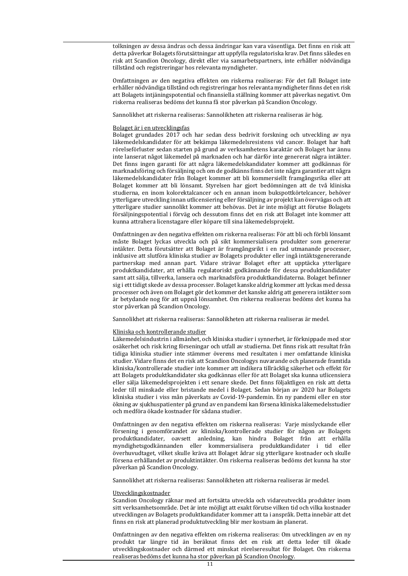tolkningen av dessa ändras och dessa ändringar kan vara väsentliga. Det finns en risk att detta påverkar Bolagets förutsättningar att uppfylla regulatoriska krav. Det finns således en risk att Scandion Oncology, direkt eller via samarbetspartners, inte erhåller nödvändiga tillstånd och registreringar hos relevanta myndigheter.

Omfattningen av den negativa effekten om riskerna realiseras: För det fall Bolaget inte erhåller nödvändiga tillstånd och registreringar hos relevanta myndigheter finns det en risk att Bolagets intjäningspotential och finansiella ställning kommer att påverkas negativt. Om riskerna realiseras bedöms det kunna få stor påverkan på Scandion Oncology.

Sannolikhet att riskerna realiseras: Sannolikheten att riskerna realiseras är hög.

#### Bolaget är i en utvecklingsfas

Bolaget grundades 2017 och har sedan dess bedrivit forskning och utveckling av nya läkemedelskandidater för att bekämpa läkemedelsresistens vid cancer. Bolaget har haft rörelseförluster sedan starten på grund av verksamhetens karaktär och Bolaget har ännu inte lanserat något läkemedel på marknaden och har därför inte genererat några intäkter. Det finns ingen garanti för att några läkemedelskandidater kommer att godkännas för marknadsföring och försäljning och om de godkänns finns det inte några garantier att några läkemedelskandidater från Bolaget kommer att bli kommersiellt framgångsrika eller att Bolaget kommer att bli lönsamt. Styrelsen har gjort bedömningen att de två kliniska studierna, en inom kolorektalcancer och en annan inom bukspottkörtelcancer, behöver ytterligare utveckling innan utlicensiering eller försäljning av projekt kan övervägas och att ytterligare studier sannolikt kommer att behövas. Det är inte möjligt att förutse Bolagets försäljningspotential i förväg och dessutom finns det en risk att Bolaget inte kommer att kunna attrahera licenstagare eller köpare till sina läkemedelsprojekt.

Omfattningen av den negativa effekten om riskerna realiseras: För att bli och förbli lönsamt måste Bolaget lyckas utveckla och på sikt kommersialisera produkter som genererar intäkter. Detta förutsätter att Bolaget är framgångsrikt i en rad utmanande processer, inklusive att slutföra kliniska studier av Bolagets produkter eller ingå intäktsgenererande partnerskap med annan part. Vidare strävar Bolaget efter att upptäcka ytterligare produktkandidater, att erhålla regulatoriskt godkännande för dessa produktkandidater samt att sälja, tillverka, lansera och marknadsföra produktkandidaterna. Bolaget befinner sig i ett tidigt skede av dessa processer. Bolaget kanske aldrig kommer att lyckas med dessa processer och även om Bolaget gör det kommer det kanske aldrig att generera intäkter som är betydande nog för att uppnå lönsamhet. Om riskerna realiseras bedöms det kunna ha stor påverkan på Scandion Oncology.

Sannolikhet att riskerna realiseras: Sannolikheten att riskerna realiseras är medel.

#### Kliniska och kontrollerande studier

Läkemedelsindustrin i allmänhet, och kliniska studier i synnerhet, är förknippade med stor osäkerhet och risk kring förseningar och utfall av studierna. Det finns risk att resultat från tidiga kliniska studier inte stämmer överens med resultaten i mer omfattande kliniska studier. Vidare finns det en risk att Scandion Oncologys nuvarande och planerade framtida kliniska/kontrollerade studier inte kommer att indikera tillräcklig säkerhet och effekt för att Bolagets produktkandidater ska godkännas eller för att Bolaget ska kunna utlicensiera eller sälja läkemedelsprojekten i ett senare skede. Det finns följaktligen en risk att detta leder till minskade eller bristande medel i Bolaget. Sedan början av 2020 har Bolagets kliniska studier i viss mån påverkats av Covid-19-pandemin. En ny pandemi eller en stor ökning av sjukhuspatienter på grund av en pandemi kan försena kliniska läkemedelsstudier och medföra ökade kostnader för sådana studier.

Omfattningen av den negativa effekten om riskerna realiseras: Varje misslyckande eller försening i genomförandet av kliniska/kontrollerade studier för någon av Bolagets produktkandidater, oavsett anledning, kan hindra Bolaget från att erhålla myndighetsgodkännanden eller kommersialisera produktkandidater i tid eller överhuvudtaget, vilket skulle kräva att Bolaget ådrar sig ytterligare kostnader och skulle försena erhållandet av produktintäkter. Om riskerna realiseras bedöms det kunna ha stor påverkan på Scandion Oncology.

Sannolikhet att riskerna realiseras: Sannolikheten att riskerna realiseras är medel.

#### Utvecklingskostnader

Scandion Oncology räknar med att fortsätta utveckla och vidareutveckla produkter inom sitt verksamhetsområde. Det är inte möjligt att exakt förutse vilken tid och vilka kostnader utvecklingen av Bolagets produktkandidater kommer att ta i anspråk. Detta innebär att det finns en risk att planerad produktutveckling blir mer kostsam än planerat.

Omfattningen av den negativa effekten om riskerna realiseras: Om utvecklingen av en ny produkt tar längre tid än beräknat finns det en risk att detta leder till ökade utvecklingskostnader och därmed ett minskat rörelseresultat för Bolaget. Om riskerna realiseras bedöms det kunna ha stor påverkan på Scandion Oncology.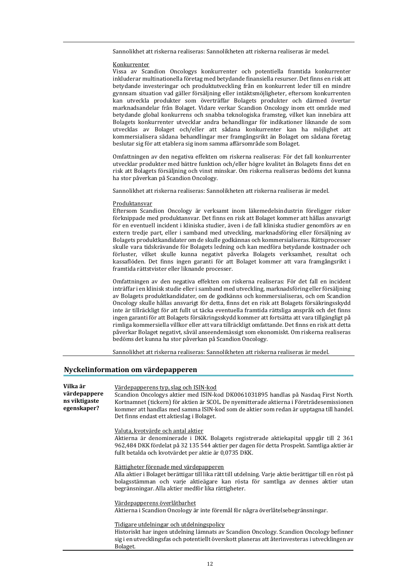Sannolikhet att riskerna realiseras: Sannolikheten att riskerna realiseras är medel.

#### Konkurrenter

Vissa av Scandion Oncologys konkurrenter och potentiella framtida konkurrenter inkluderar multinationella företag med betydande finansiella resurser. Det finns en risk att betydande investeringar och produktutveckling från en konkurrent leder till en mindre gynnsam situation vad gäller försäljning eller intäktsmöjligheter, eftersom konkurrenten kan utveckla produkter som överträffar Bolagets produkter och därmed övertar marknadsandelar från Bolaget. Vidare verkar Scandion Oncology inom ett område med betydande global konkurrens och snabba teknologiska framsteg, vilket kan innebära att Bolagets konkurrenter utvecklar andra behandlingar för indikationer liknande de som utvecklas av Bolaget och/eller att sådana konkurrenter kan ha möjlighet att kommersialisera sådana behandlingar mer framgångsrikt än Bolaget om sådana företag beslutar sig för att etablera sig inom samma affärsområde som Bolaget.

Omfattningen av den negativa effekten om riskerna realiseras: För det fall konkurrenter utvecklar produkter med bättre funktion och/eller högre kvalitet än Bolagets finns det en risk att Bolagets försäljning och vinst minskar. Om riskerna realiseras bedöms det kunna ha stor påverkan på Scandion Oncology.

Sannolikhet att riskerna realiseras: Sannolikheten att riskerna realiseras är medel.

#### Produktansvar

Eftersom Scandion Oncology är verksamt inom läkemedelsindustrin föreligger risker förknippade med produktansvar. Det finns en risk att Bolaget kommer att hållas ansvarigt för en eventuell incident i kliniska studier, även i de fall kliniska studier genomförs av en extern tredje part, eller i samband med utveckling, marknadsföring eller försäljning av Bolagets produktkandidater om de skulle godkännas och kommersialiseras. Rättsprocesser skulle vara tidskrävande för Bolagets ledning och kan medföra betydande kostnader och förluster, vilket skulle kunna negativt påverka Bolagets verksamhet, resultat och kassaflöden. Det finns ingen garanti för att Bolaget kommer att vara framgångsrikt i framtida rättstvister eller liknande processer.

Omfattningen av den negativa effekten om riskerna realiseras: För det fall en incident inträffar i en klinisk studie eller i samband med utveckling, marknadsföring eller försäljning av Bolagets produktkandidater, om de godkänns och kommersialiseras, och om Scandion Oncology skulle hållas ansvarigt för detta, finns det en risk att Bolagets försäkringsskydd inte är tillräckligt för att fullt ut täcka eventuella framtida rättsliga anspråk och det finns ingen garanti för att Bolagets försäkringsskydd kommer att fortsätta att vara tillgängligt på rimliga kommersiella villkor eller att vara tillräckligt omfattande. Det finns en risk att detta påverkar Bolaget negativt, såväl anseendemässigt som ekonomiskt. Om riskerna realiseras bedöms det kunna ha stor påverkan på Scandion Oncology.

Sannolikhet att riskerna realiseras: Sannolikheten att riskerna realiseras är medel.

#### Nyckelinformation om värdepapperen

Bolaget.

| Vilka är<br>värdepappere<br>ns viktigaste<br>egenskaper? | Värdepapperens typ, slag och ISIN-kod<br>Scandion Oncologys aktier med ISIN-kod DK0061031895 handlas på Nasdaq First North.<br>Kortnamnet (tickern) för aktien är SCOL. De nyemitterade aktierna i Företrädesemissionen<br>kommer att handlas med samma ISIN-kod som de aktier som redan är upptagna till handel.<br>Det finns endast ett aktieslag i Bolaget. |
|----------------------------------------------------------|----------------------------------------------------------------------------------------------------------------------------------------------------------------------------------------------------------------------------------------------------------------------------------------------------------------------------------------------------------------|
|                                                          | Valuta, kvotvärde och antal aktier<br>Aktierna är denominerade i DKK. Bolagets registrerade aktiekapital uppgår till 2 361<br>962,484 DKK fördelat på 32 135 544 aktier per dagen för detta Prospekt. Samtliga aktier är<br>fullt betalda och kvotvärdet per aktie är 0,0735 DKK.                                                                              |
|                                                          | Rättigheter förenade med värdepapperen<br>Alla aktier i Bolaget berättigar till lika rätt till utdelning. Varje aktie berättigar till en röst på<br>bolagsstämman och varje aktieägare kan rösta för samtliga av dennes aktier utan<br>begränsningar. Alla aktier medför lika rättigheter.                                                                     |
|                                                          | Värdepapperens överlåtbarhet<br>Aktierna i Scandion Oncology är inte föremål för några överlåtelsebegränsningar.                                                                                                                                                                                                                                               |
|                                                          | Tidigare utdelningar och utdelningspolicy<br>Historiskt har ingen utdelning lämnats av Scandion Oncology. Scandion Oncology befinner<br>sig i en utvecklingsfas och potentiellt överskott planeras att återinvesteras i utvecklingen av                                                                                                                        |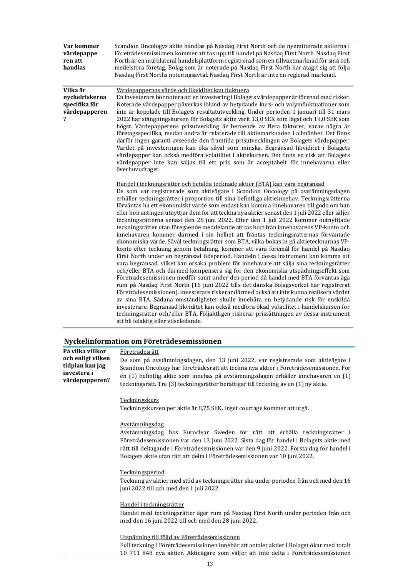| Var kommer<br>värdepappe<br>ren att<br>handlas                    | Scandion Oncologys aktie handlas på Nasdaq First North och de nyemitterade aktierna i<br>Företrädesemissionen kommer att tas upp till handel på Nasdaq First North. Nasdaq First<br>North är en multilateral handelsplattform registrerad som en tillväxtmarknad för små och<br>medelstora företag. Bolag som är noterade på Nasdaq First North har åtagit sig att följa<br>Nasdaq First Norths noteringsavtal. Nasdaq First North är inte en reglerad marknad.                                                                                                                                                                                                                                                                                                                                                                                                                                                                                                                                                                                                                                                                                                                                                                                                                                                                                                                                                                                                                                                                                                                                                                                                                                                                                                                                                                                                                                                                                                                                                                                                                                                                                                                                                                                                                                                                                                                                                                                                                                                                                                                                                                                                                                                                                                                  |
|-------------------------------------------------------------------|----------------------------------------------------------------------------------------------------------------------------------------------------------------------------------------------------------------------------------------------------------------------------------------------------------------------------------------------------------------------------------------------------------------------------------------------------------------------------------------------------------------------------------------------------------------------------------------------------------------------------------------------------------------------------------------------------------------------------------------------------------------------------------------------------------------------------------------------------------------------------------------------------------------------------------------------------------------------------------------------------------------------------------------------------------------------------------------------------------------------------------------------------------------------------------------------------------------------------------------------------------------------------------------------------------------------------------------------------------------------------------------------------------------------------------------------------------------------------------------------------------------------------------------------------------------------------------------------------------------------------------------------------------------------------------------------------------------------------------------------------------------------------------------------------------------------------------------------------------------------------------------------------------------------------------------------------------------------------------------------------------------------------------------------------------------------------------------------------------------------------------------------------------------------------------------------------------------------------------------------------------------------------------------------------------------------------------------------------------------------------------------------------------------------------------------------------------------------------------------------------------------------------------------------------------------------------------------------------------------------------------------------------------------------------------------------------------------------------------------------------------------------------------|
| Vilka är<br>nyckelriskerna<br>specifika för<br>värdepapperen<br>? | Värdepappernas värde och likviditet kan fluktuera<br>En investerare bör notera att en investering i Bolagets värdepapper är förenad med risker.<br>Noterade värdepapper påverkas ibland av betydande kurs- och volymfluktuationer som<br>inte är kopplade till Bolagets resultatutveckling. Under perioden 1 januari till 31 mars<br>2022 har stängningskursen för Bolagets aktie varit 13,0 SEK som lägst och 19,0 SEK som<br>högst. Värdepapperens prisutveckling är beroende av flera faktorer, varav några är<br>företagsspecifika, medan andra är relaterade till aktiemarknaden i allmänhet. Det finns<br>därför ingen garanti avseende den framtida prisutvecklingen av Bolagets värdepapper.<br>Värdet på investeringen kan öka såväl som minska. Begränsad likviditet i Bolagets<br>värdepapper kan också medföra volatilitet i aktiekursen. Det finns en risk att Bolagets<br>värdepapper inte kan säljas till ett pris som är acceptabelt för innehavarna eller<br>överhuvudtaget.<br>Handel i teckningsrätter och betalda tecknade aktier (BTA) kan vara begränsad<br>De som var registrerade som aktieägare i Scandion Oncology på avstämningsdagen<br>erhåller teckningsrätter i proportion till sina befintliga aktieinnehav. Teckningsrätterna<br>förväntas ha ett ekonomiskt värde som endast kan komma innehavaren till godo om han<br>eller hon antingen utnyttjar dem för att teckna nya aktier senast den 1 juli 2022 eller säljer<br>teckningsrätterna senast den 28 juni 2022. Efter den 1 juli 2022 kommer outnyttjade<br>teckningsrätter utan föregående meddelande att tas bort från innehavarens VP-konto och<br>innehavaren kommer därmed i sin helhet att fråntas teckningsrätternas förväntade<br>ekonomiska värde. Såväl teckningsrätter som BTA, vilka bokas in på aktietecknarnas VP-<br>konto efter teckning genom betalning, kommer att vara föremål för handel på Nasdaq<br>First North under en begränsad tidsperiod. Handeln i dessa instrument kan komma att<br>vara begränsad, vilket kan orsaka problem för innehavare att sälja sina teckningsrätter<br>och/eller BTA och därmed kompensera sig för den ekonomiska utspädningseffekt som<br>Företrädesemissionen medför samt under den period då handel med BTA förväntas äga<br>rum på Nasdaq First North (16 juni 2022 tills det danska Bolagsverket har registrerat<br>Företrädesemissionen). Investerare riskerar därmed också att inte kunna realisera värdet<br>av sina BTA. Sådana omständigheter skulle innebära en betydande risk för enskilda<br>investerare. Begränsad likviditet kan också medföra ökad volatilitet i handelskursen för<br>teckningsrätter och/eller BTA. Följaktligen riskerar prissättningen av dessa instrument<br>att bli felaktig eller vilseledande. |
|                                                                   |                                                                                                                                                                                                                                                                                                                                                                                                                                                                                                                                                                                                                                                                                                                                                                                                                                                                                                                                                                                                                                                                                                                                                                                                                                                                                                                                                                                                                                                                                                                                                                                                                                                                                                                                                                                                                                                                                                                                                                                                                                                                                                                                                                                                                                                                                                                                                                                                                                                                                                                                                                                                                                                                                                                                                                                  |

## Nyckelinformation om Företrädesemissionen

| På vilka villkor<br>och enligt vilken<br>tidplan kan jag<br>investera i<br>värdepapperen? | Företrädesrätt<br>De som på avstämningsdagen, den 13 juni 2022, var registrerade som aktieägare i<br>Scandion Oncology har företrädesrätt att teckna nya aktier i Företrädesemissionen. För<br>en (1) befintlig aktie som innehas på avstämningsdagen erhåller innehavaren en (1)<br>teckningsrätt. Tre (3) teckningsrätter berättigar till teckning av en (1) ny aktie. |
|-------------------------------------------------------------------------------------------|--------------------------------------------------------------------------------------------------------------------------------------------------------------------------------------------------------------------------------------------------------------------------------------------------------------------------------------------------------------------------|
|                                                                                           | <b>Teckningskurs</b><br>Teckningskursen per aktie är 8,75 SEK. Inget courtage kommer att utgå.                                                                                                                                                                                                                                                                           |
|                                                                                           | <u>Avstämningsdag</u><br>Avstämningsdag hos Euroclear Sweden för rätt att erhålla teckningsrätter i<br>Företrädesemissionen var den 13 juni 2022. Sista dag för handel i Bolagets aktie med<br>rätt till deltagande i Företrädesemissionen var den 9 juni 2022. Första dag för handel i<br>Bolagets aktie utan rätt att delta i Företrädesemissionen var 10 juni 2022.   |
|                                                                                           | Teckningsperiod<br>Teckning av aktier med stöd av teckningsrätter ska under perioden från och med den 16<br>juni 2022 till och med den 1 juli 2022.                                                                                                                                                                                                                      |
|                                                                                           | Handel i teckningsrätter<br>Handel med teckningsrätter äger rum på Nasdaq First North under perioden från och<br>med den 16 juni 2022 till och med den 28 juni 2022.                                                                                                                                                                                                     |
|                                                                                           | Utspädning till följd av Företrädesemissionen<br>$1.9 \t 1.1 \t 1.1 \t 1.1 \t 1.1 \t 1.1 \t 1.1 \t 1.1 \t 1.1 \t 1.1 \t 1.1 \t 1.1 \t 1.1 \t 1.1 \t 1.1 \t 1.1 \t 1.1 \t 1.1 \t 1.1 \t 1.1 \t 1.1 \t 1.1 \t 1.1 \t 1.1 \t 1.1 \t 1.1 \t 1.1 \t 1.1 \t 1.1 \t 1.1 \t 1.1 \t 1.1 \t 1.1 \t 1.1 \t 1.1 \t 1.1 \t 1.1 \$<br>.                                                |

Full teckning i Företrädesemissionen innebär att antalet aktier i Bolaget ökar med totalt 10 711 848 nya aktier. Aktieägare som väljer att inte delta i Företrädesemissionen